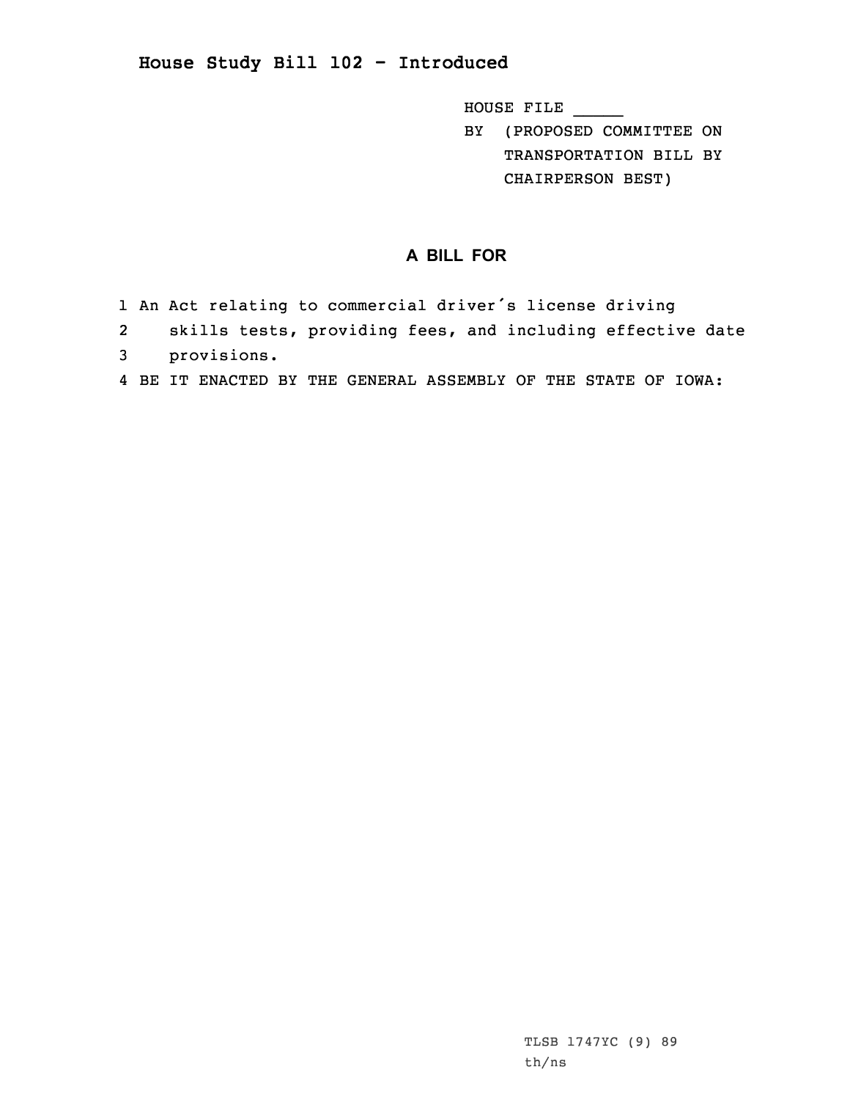## **House Study Bill 102 - Introduced**

HOUSE FILE \_\_\_\_\_

BY (PROPOSED COMMITTEE ON TRANSPORTATION BILL BY CHAIRPERSON BEST)

## **A BILL FOR**

- 1 An Act relating to commercial driver's license driving
- 2 skills tests, providing fees, and including effective date
- 3 provisions.
- 4 BE IT ENACTED BY THE GENERAL ASSEMBLY OF THE STATE OF IOWA: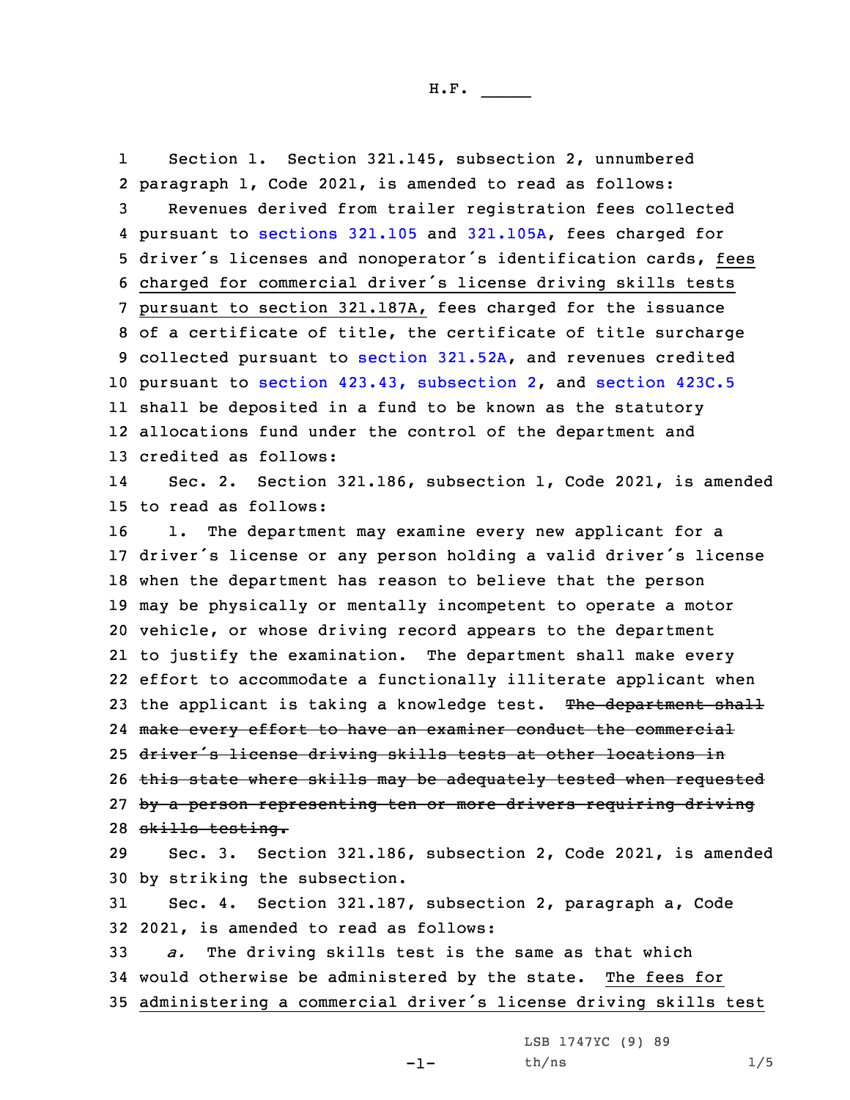H.F. \_\_\_\_\_

1 Section 1. Section 321.145, subsection 2, unnumbered paragraph 1, Code 2021, is amended to read as follows: Revenues derived from trailer registration fees collected pursuant to [sections](https://www.legis.iowa.gov/docs/code/2021/321.105.pdf) 321.105 and [321.105A](https://www.legis.iowa.gov/docs/code/2021/321.105A.pdf), fees charged for driver's licenses and nonoperator's identification cards, fees charged for commercial driver's license driving skills tests pursuant to section 321.187A, fees charged for the issuance of <sup>a</sup> certificate of title, the certificate of title surcharge collected pursuant to section [321.52A](https://www.legis.iowa.gov/docs/code/2021/321.52A.pdf), and revenues credited pursuant to section 423.43, [subsection](https://www.legis.iowa.gov/docs/code/2021/423.43.pdf) 2, and [section](https://www.legis.iowa.gov/docs/code/2021/423C.5.pdf) 423C.5 shall be deposited in <sup>a</sup> fund to be known as the statutory allocations fund under the control of the department and credited as follows: 14 Sec. 2. Section 321.186, subsection 1, Code 2021, is amended to read as follows: 1. The department may examine every new applicant for <sup>a</sup> driver's license or any person holding <sup>a</sup> valid driver's license when the department has reason to believe that the person may be physically or mentally incompetent to operate <sup>a</sup> motor vehicle, or whose driving record appears to the department to justify the examination. The department shall make every effort to accommodate <sup>a</sup> functionally illiterate applicant when 23 the applicant is taking a knowledge test. The department shall make every effort to have an examiner conduct the commercial 25 driver's license driving skills tests at other locations in 26 this state where skills may be adequately tested when requested 27 by a person representing ten or more drivers requiring driving skills testing. Sec. 3. Section 321.186, subsection 2, Code 2021, is amended by striking the subsection. Sec. 4. Section 321.187, subsection 2, paragraph a, Code 2021, is amended to read as follows:

33 *a.* The driving skills test is the same as that which 34 would otherwise be administered by the state. The fees for <sup>35</sup> administering <sup>a</sup> commercial driver's license driving skills test

 $-1-$ 

LSB 1747YC (9) 89  $th/ns$  1/5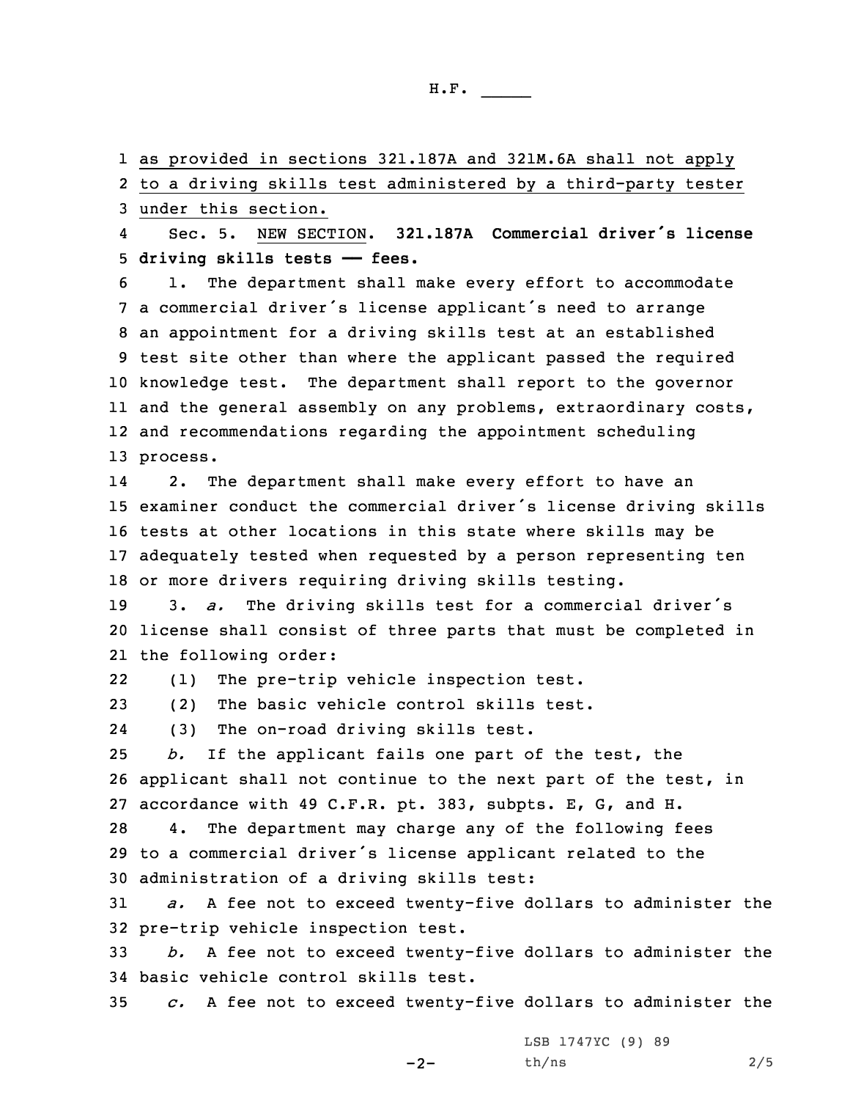1 as provided in sections 321.187A and 321M.6A shall not apply 2 to <sup>a</sup> driving skills test administered by <sup>a</sup> third-party tester 3 under this section.

4 Sec. 5. NEW SECTION. **321.187A Commercial driver's license** 5 **driving skills tests —— fees.**

 1. The department shall make every effort to accommodate <sup>a</sup> commercial driver's license applicant's need to arrange an appointment for <sup>a</sup> driving skills test at an established test site other than where the applicant passed the required knowledge test. The department shall report to the governor and the general assembly on any problems, extraordinary costs, and recommendations regarding the appointment scheduling 13 process.

14 2. The department shall make every effort to have an examiner conduct the commercial driver's license driving skills tests at other locations in this state where skills may be adequately tested when requested by <sup>a</sup> person representing ten or more drivers requiring driving skills testing.

<sup>19</sup> 3. *a.* The driving skills test for <sup>a</sup> commercial driver's 20 license shall consist of three parts that must be completed in 21 the following order:

22(1) The pre-trip vehicle inspection test.

23 (2) The basic vehicle control skills test.

24(3) The on-road driving skills test.

25 *b.* If the applicant fails one part of the test, the 26 applicant shall not continue to the next part of the test, in 27 accordance with 49 C.F.R. pt. 383, subpts. E, G, and H.

28 4. The department may charge any of the following fees <sup>29</sup> to <sup>a</sup> commercial driver's license applicant related to the 30 administration of <sup>a</sup> driving skills test:

31 *a.* <sup>A</sup> fee not to exceed twenty-five dollars to administer the 32 pre-trip vehicle inspection test.

33 *b.* <sup>A</sup> fee not to exceed twenty-five dollars to administer the 34 basic vehicle control skills test.

35 *c.* <sup>A</sup> fee not to exceed twenty-five dollars to administer the

 $-2-$ 

LSB 1747YC (9) 89 th/ns 2/5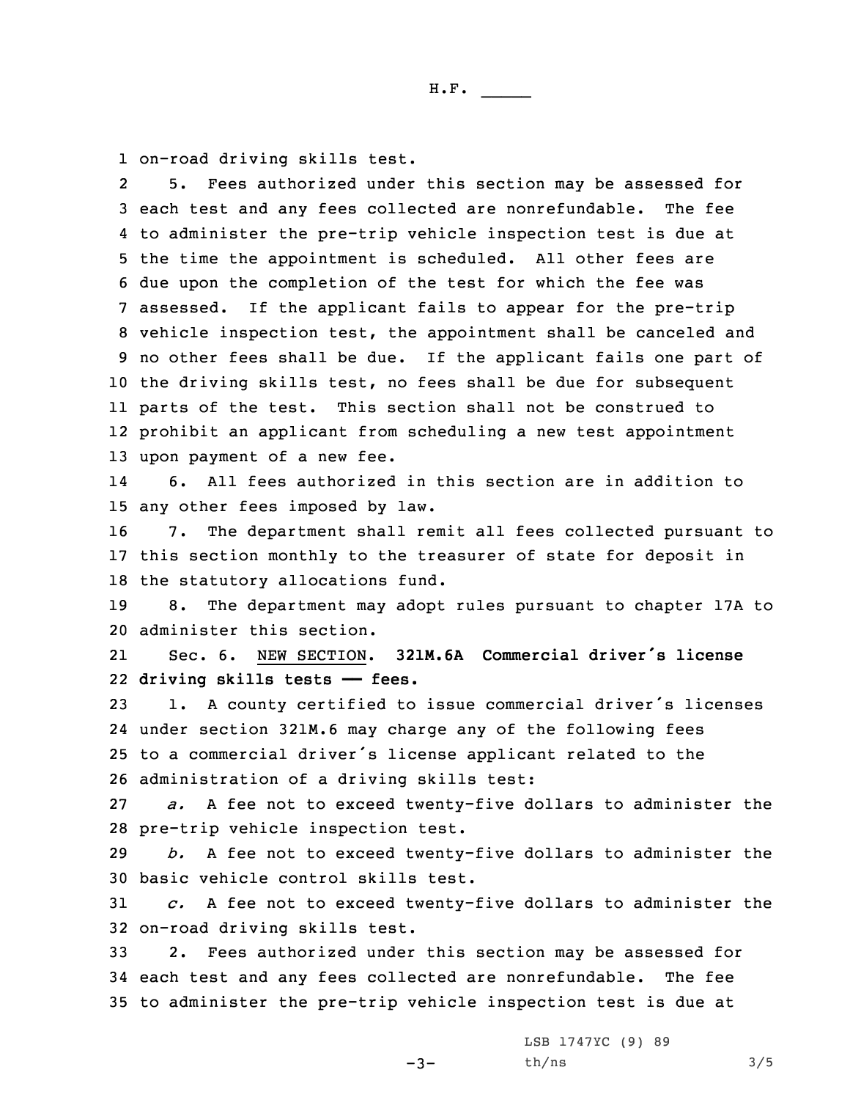1 on-road driving skills test.

2 5. Fees authorized under this section may be assessed for each test and any fees collected are nonrefundable. The fee to administer the pre-trip vehicle inspection test is due at the time the appointment is scheduled. All other fees are due upon the completion of the test for which the fee was assessed. If the applicant fails to appear for the pre-trip vehicle inspection test, the appointment shall be canceled and no other fees shall be due. If the applicant fails one part of the driving skills test, no fees shall be due for subsequent parts of the test. This section shall not be construed to prohibit an applicant from scheduling <sup>a</sup> new test appointment upon payment of <sup>a</sup> new fee.

14 6. All fees authorized in this section are in addition to 15 any other fees imposed by law.

16 7. The department shall remit all fees collected pursuant to 17 this section monthly to the treasurer of state for deposit in 18 the statutory allocations fund.

19 8. The department may adopt rules pursuant to chapter 17A to 20 administer this section.

21 Sec. 6. NEW SECTION. **321M.6A Commercial driver's license** 22 **driving skills tests —— fees.**

 1. <sup>A</sup> county certified to issue commercial driver's licenses under section 321M.6 may charge any of the following fees to <sup>a</sup> commercial driver's license applicant related to the administration of <sup>a</sup> driving skills test:

27 *a.* <sup>A</sup> fee not to exceed twenty-five dollars to administer the 28 pre-trip vehicle inspection test.

29 *b.* <sup>A</sup> fee not to exceed twenty-five dollars to administer the 30 basic vehicle control skills test.

31 *c.* <sup>A</sup> fee not to exceed twenty-five dollars to administer the 32 on-road driving skills test.

33 2. Fees authorized under this section may be assessed for 34 each test and any fees collected are nonrefundable. The fee 35 to administer the pre-trip vehicle inspection test is due at

 $-3-$ 

LSB 1747YC (9) 89  $th/ns$  3/5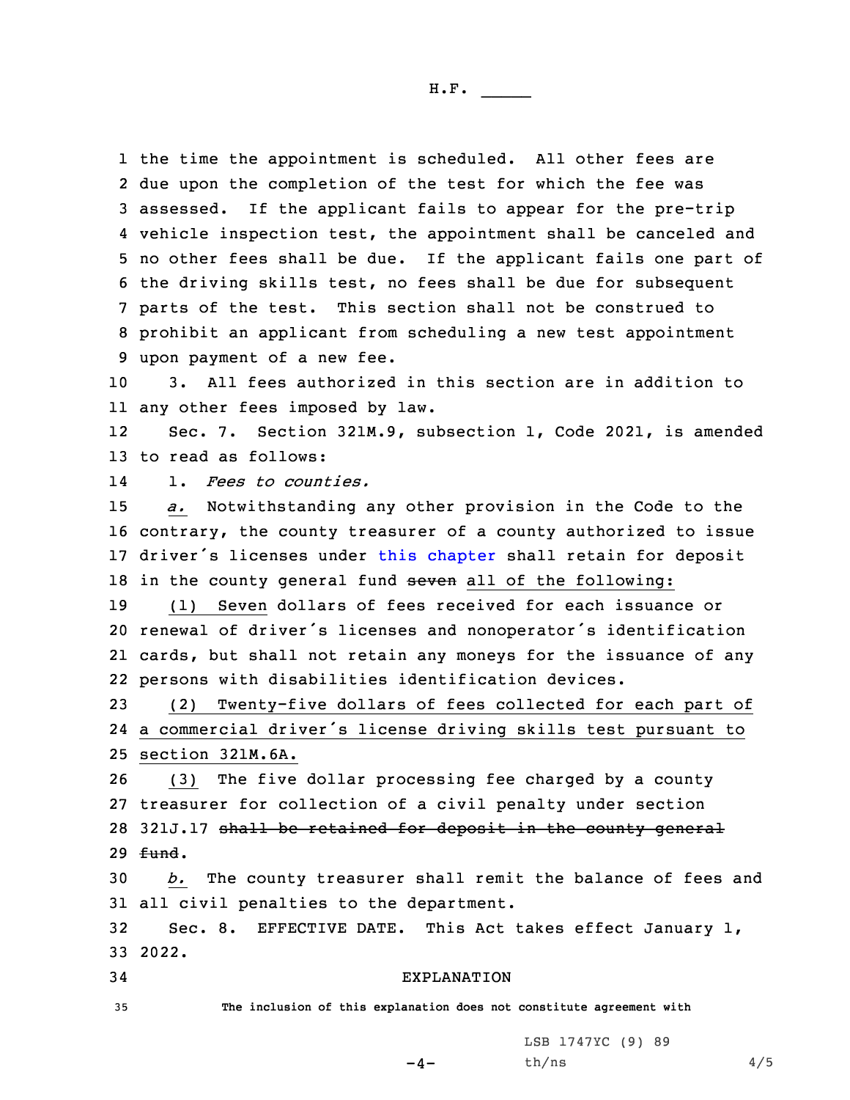the time the appointment is scheduled. All other fees are due upon the completion of the test for which the fee was assessed. If the applicant fails to appear for the pre-trip vehicle inspection test, the appointment shall be canceled and no other fees shall be due. If the applicant fails one part of the driving skills test, no fees shall be due for subsequent parts of the test. This section shall not be construed to prohibit an applicant from scheduling <sup>a</sup> new test appointment upon payment of <sup>a</sup> new fee.

10 3. All fees authorized in this section are in addition to 11 any other fees imposed by law.

12 Sec. 7. Section 321M.9, subsection 1, Code 2021, is amended 13 to read as follows:

141. *Fees to counties.*

15 *a.* Notwithstanding any other provision in the Code to the 16 contrary, the county treasurer of <sup>a</sup> county authorized to issue 17 driver's licenses under this [chapter](https://www.legis.iowa.gov/docs/code/2021/321M.pdf) shall retain for deposit 18 in the county general fund seven all of the following:

 (1) Seven dollars of fees received for each issuance or renewal of driver's licenses and nonoperator's identification cards, but shall not retain any moneys for the issuance of any persons with disabilities identification devices.

23 (2) Twenty-five dollars of fees collected for each part of 24 <sup>a</sup> commercial driver's license driving skills test pursuant to 25 section 321M.6A.

 (3) The five dollar processing fee charged by <sup>a</sup> county treasurer for collection of <sup>a</sup> civil penalty under section 321J.17 shall be retained for deposit in the county general 29 fund.

30 *b.* The county treasurer shall remit the balance of fees and 31 all civil penalties to the department.

32 Sec. 8. EFFECTIVE DATE. This Act takes effect January 1, 33 2022.

 $-4-$ 

## 34 EXPLANATION

35 **The inclusion of this explanation does not constitute agreement with**

LSB 1747YC (9) 89  $th/ns$  4/5